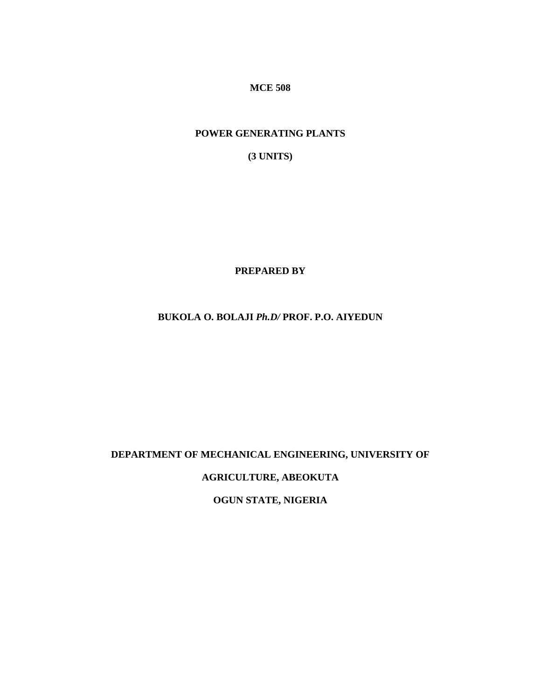**MCE 508** 

# **POWER GENERATING PLANTS**

**(3 UNITS)** 

**PREPARED BY**

# **BUKOLA O. BOLAJI** *Ph.D/* **PROF. P.O. AIYEDUN**

# **DEPARTMENT OF MECHANICAL ENGINEERING, UNIVERSITY OF**

**AGRICULTURE, ABEOKUTA** 

**OGUN STATE, NIGERIA**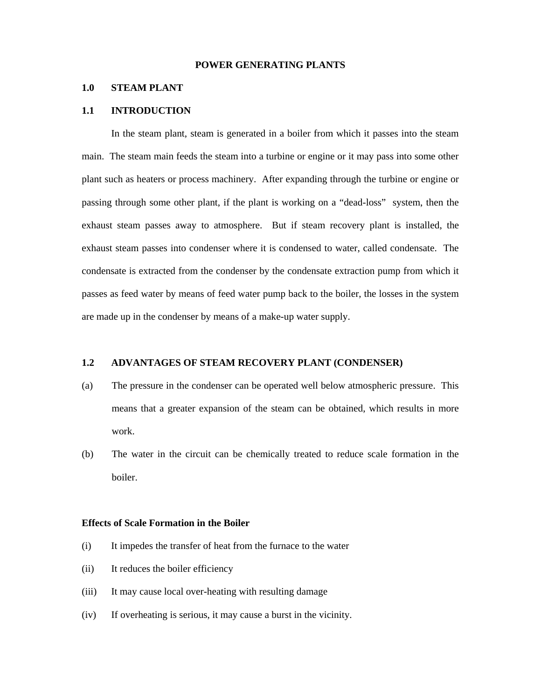## **POWER GENERATING PLANTS**

## **1.0 STEAM PLANT**

#### **1.1 INTRODUCTION**

 In the steam plant, steam is generated in a boiler from which it passes into the steam main. The steam main feeds the steam into a turbine or engine or it may pass into some other plant such as heaters or process machinery. After expanding through the turbine or engine or passing through some other plant, if the plant is working on a "dead-loss" system, then the exhaust steam passes away to atmosphere. But if steam recovery plant is installed, the exhaust steam passes into condenser where it is condensed to water, called condensate. The condensate is extracted from the condenser by the condensate extraction pump from which it passes as feed water by means of feed water pump back to the boiler, the losses in the system are made up in the condenser by means of a make-up water supply.

## **1.2 ADVANTAGES OF STEAM RECOVERY PLANT (CONDENSER)**

- (a) The pressure in the condenser can be operated well below atmospheric pressure. This means that a greater expansion of the steam can be obtained, which results in more work.
- (b) The water in the circuit can be chemically treated to reduce scale formation in the boiler.

#### **Effects of Scale Formation in the Boiler**

- (i) It impedes the transfer of heat from the furnace to the water
- (ii) It reduces the boiler efficiency
- (iii) It may cause local over-heating with resulting damage
- (iv) If overheating is serious, it may cause a burst in the vicinity.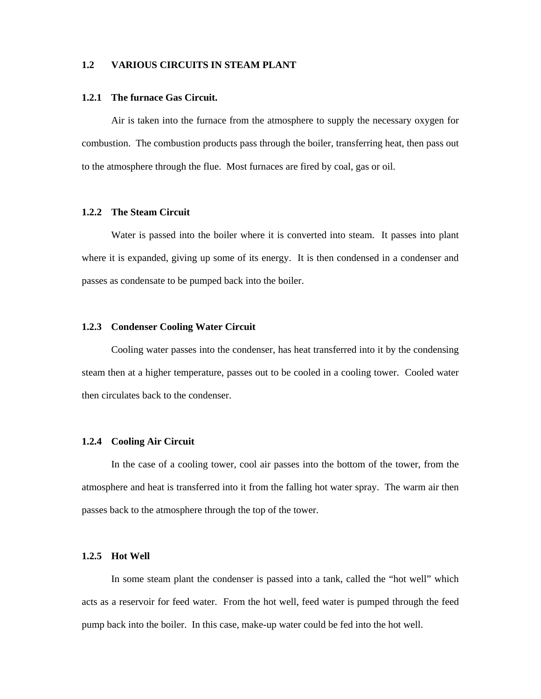# **1.2 VARIOUS CIRCUITS IN STEAM PLANT**

#### **1.2.1 The furnace Gas Circuit.**

Air is taken into the furnace from the atmosphere to supply the necessary oxygen for combustion. The combustion products pass through the boiler, transferring heat, then pass out to the atmosphere through the flue. Most furnaces are fired by coal, gas or oil.

#### **1.2.2 The Steam Circuit**

 Water is passed into the boiler where it is converted into steam. It passes into plant where it is expanded, giving up some of its energy. It is then condensed in a condenser and passes as condensate to be pumped back into the boiler.

## **1.2.3 Condenser Cooling Water Circuit**

 Cooling water passes into the condenser, has heat transferred into it by the condensing steam then at a higher temperature, passes out to be cooled in a cooling tower. Cooled water then circulates back to the condenser.

## **1.2.4 Cooling Air Circuit**

 In the case of a cooling tower, cool air passes into the bottom of the tower, from the atmosphere and heat is transferred into it from the falling hot water spray. The warm air then passes back to the atmosphere through the top of the tower.

## **1.2.5 Hot Well**

 In some steam plant the condenser is passed into a tank, called the "hot well" which acts as a reservoir for feed water. From the hot well, feed water is pumped through the feed pump back into the boiler. In this case, make-up water could be fed into the hot well.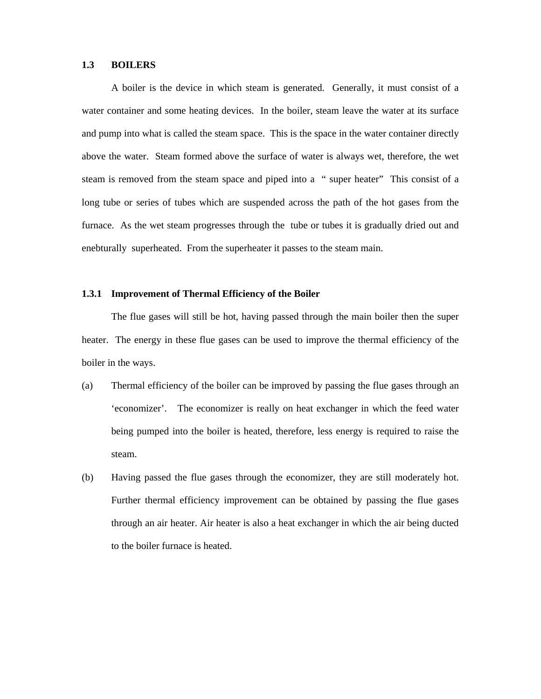## **1.3 BOILERS**

 A boiler is the device in which steam is generated. Generally, it must consist of a water container and some heating devices. In the boiler, steam leave the water at its surface and pump into what is called the steam space. This is the space in the water container directly above the water. Steam formed above the surface of water is always wet, therefore, the wet steam is removed from the steam space and piped into a " super heater" This consist of a long tube or series of tubes which are suspended across the path of the hot gases from the furnace. As the wet steam progresses through the tube or tubes it is gradually dried out and enebturally superheated. From the superheater it passes to the steam main.

#### **1.3.1 Improvement of Thermal Efficiency of the Boiler**

 The flue gases will still be hot, having passed through the main boiler then the super heater. The energy in these flue gases can be used to improve the thermal efficiency of the boiler in the ways.

- (a) Thermal efficiency of the boiler can be improved by passing the flue gases through an 'economizer'. The economizer is really on heat exchanger in which the feed water being pumped into the boiler is heated, therefore, less energy is required to raise the steam.
- (b) Having passed the flue gases through the economizer, they are still moderately hot. Further thermal efficiency improvement can be obtained by passing the flue gases through an air heater. Air heater is also a heat exchanger in which the air being ducted to the boiler furnace is heated.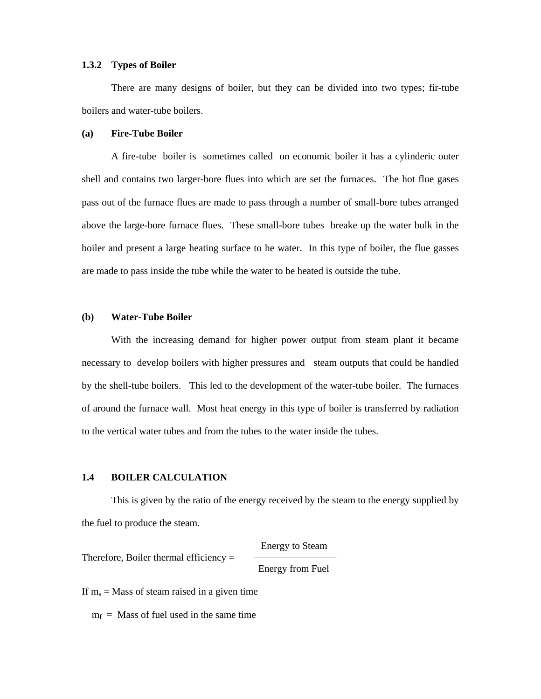#### **1.3.2 Types of Boiler**

 There are many designs of boiler, but they can be divided into two types; fir-tube boilers and water-tube boilers.

## **(a) Fire-Tube Boiler**

A fire-tube boiler is sometimes called on economic boiler it has a cylinderic outer shell and contains two larger-bore flues into which are set the furnaces. The hot flue gases pass out of the furnace flues are made to pass through a number of small-bore tubes arranged above the large-bore furnace flues. These small-bore tubes breake up the water bulk in the boiler and present a large heating surface to he water. In this type of boiler, the flue gasses are made to pass inside the tube while the water to be heated is outside the tube.

#### **(b) Water-Tube Boiler**

With the increasing demand for higher power output from steam plant it became necessary to develop boilers with higher pressures and steam outputs that could be handled by the shell-tube boilers. This led to the development of the water-tube boiler. The furnaces of around the furnace wall. Most heat energy in this type of boiler is transferred by radiation to the vertical water tubes and from the tubes to the water inside the tubes.

#### **1.4 BOILER CALCULATION**

 This is given by the ratio of the energy received by the steam to the energy supplied by the fuel to produce the steam.

Energy to Steam

Therefore, Boiler thermal efficiency  $=$ 

Energy from Fuel

If  $m_s$  = Mass of steam raised in a given time

 $m_f$  = Mass of fuel used in the same time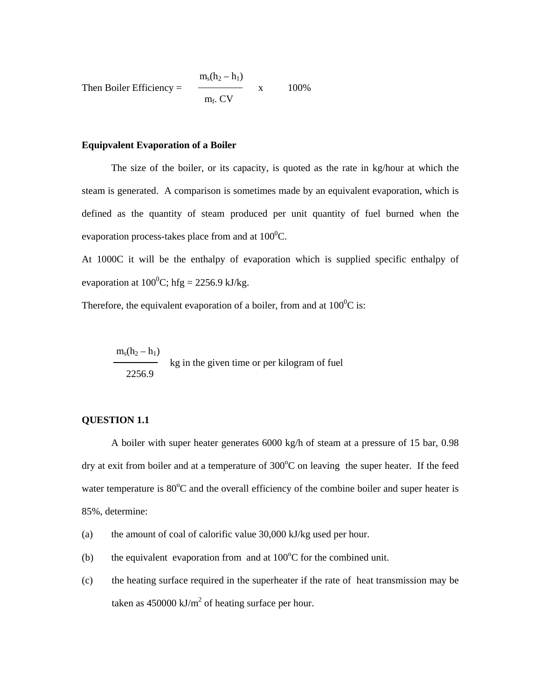Then Boiler Efficiency = 
$$
\frac{m_s(h_2 - h_1)}{m_f. CV}
$$
 x 100%

## **Equipvalent Evaporation of a Boiler**

 The size of the boiler, or its capacity, is quoted as the rate in kg/hour at which the steam is generated. A comparison is sometimes made by an equivalent evaporation, which is defined as the quantity of steam produced per unit quantity of fuel burned when the evaporation process-takes place from and at  $100^0C$ .

At 1000C it will be the enthalpy of evaporation which is supplied specific enthalpy of evaporation at  $100^0$ C; hfg = 2256.9 kJ/kg.

Therefore, the equivalent evaporation of a boiler, from and at  $100^{\circ}$ C is:

 $m_s(h_2 - h_1)$ kg in the given time or per kilogram of fuel 2256.9

# **QUESTION 1.1**

A boiler with super heater generates 6000 kg/h of steam at a pressure of 15 bar, 0.98 dry at exit from boiler and at a temperature of  $300^{\circ}$ C on leaving the super heater. If the feed water temperature is  $80^{\circ}$ C and the overall efficiency of the combine boiler and super heater is 85%, determine:

- (a) the amount of coal of calorific value 30,000 kJ/kg used per hour.
- (b) the equivalent evaporation from and at  $100^{\circ}$ C for the combined unit.
- (c) the heating surface required in the superheater if the rate of heat transmission may be taken as 450000 kJ/ $m^2$  of heating surface per hour.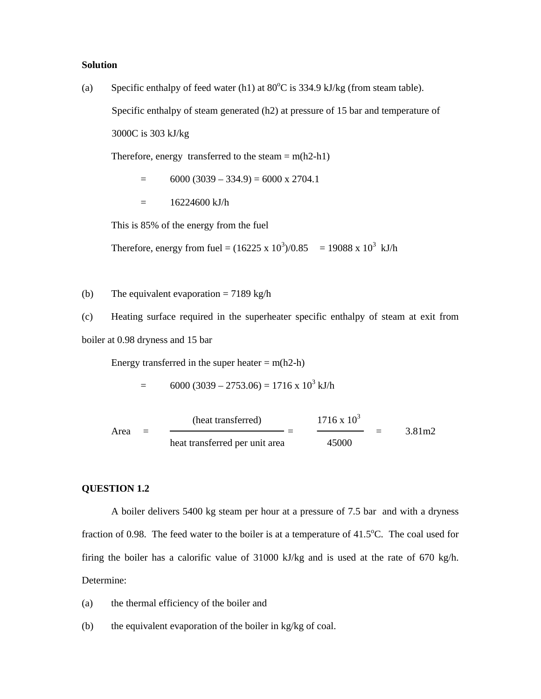## **Solution**

(a) Specific enthalpy of feed water (h1) at  $80^{\circ}$ C is 334.9 kJ/kg (from steam table). Specific enthalpy of steam generated (h2) at pressure of 15 bar and temperature of

3000C is 303 kJ/kg

Therefore, energy transferred to the steam  $= m(h2-h1)$ 

 $=$  6000 (3039 – 334.9) = 6000 x 2704.1

 $= 16224600 \text{ kJ/h}$ 

This is 85% of the energy from the fuel

Therefore, energy from fuel =  $(16225 \times 10^3)/0.85 = 19088 \times 10^3$  kJ/h

(b) The equivalent evaporation =  $7189 \text{ kg/h}$ 

(c) Heating surface required in the superheater specific enthalpy of steam at exit from

boiler at 0.98 dryness and 15 bar

Energy transferred in the super heater  $= m(h2-h)$ 

$$
= 6000 (3039 - 2753.06) = 1716 \times 10^3 \text{ kJ/h}
$$

(heat transferred)  $1716 \times 10^3$ Area =  $\frac{1}{2}$  =  $\frac{3.81 \text{ m}}{2}$ heat transferred per unit area 45000

# **QUESTION 1.2**

A boiler delivers 5400 kg steam per hour at a pressure of 7.5 bar and with a dryness fraction of 0.98. The feed water to the boiler is at a temperature of  $41.5^{\circ}$ C. The coal used for firing the boiler has a calorific value of 31000 kJ/kg and is used at the rate of 670 kg/h. Determine:

- (a) the thermal efficiency of the boiler and
- (b) the equivalent evaporation of the boiler in kg/kg of coal.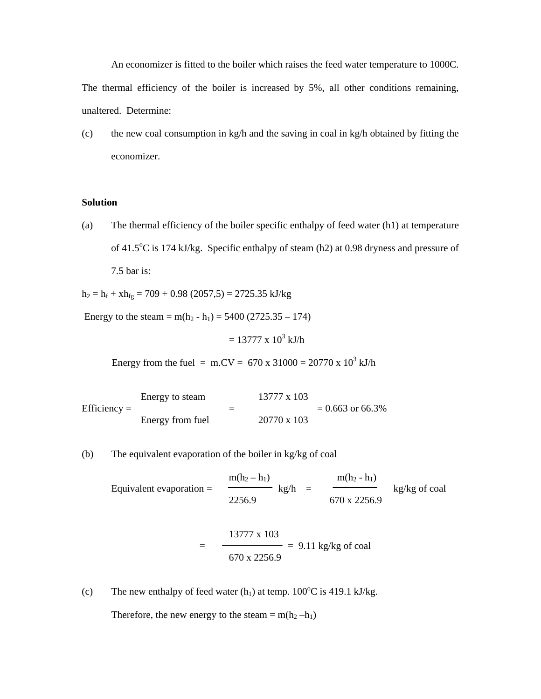An economizer is fitted to the boiler which raises the feed water temperature to 1000C. The thermal efficiency of the boiler is increased by 5%, all other conditions remaining, unaltered. Determine:

(c) the new coal consumption in kg/h and the saving in coal in kg/h obtained by fitting the economizer.

## **Solution**

(a) The thermal efficiency of the boiler specific enthalpy of feed water (h1) at temperature of 41.5<sup>o</sup>C is 174 kJ/kg. Specific enthalpy of steam (h2) at 0.98 dryness and pressure of 7.5 bar is:

 $h_2 = h_f + xh_{fg} = 709 + 0.98$  (2057,5) = 2725.35 kJ/kg

Energy to the steam = m(h<sub>2</sub> - h<sub>1</sub>) = 5400 (2725.35 – 174)

 $= 13777 \times 10^3$  kJ/h

Energy from the fuel = m.CV = 670 x 31000 = 20770 x  $10^3$  kJ/h

Energy to steam 13777 x 103 Efficiency =  $\longrightarrow$  =  $\longrightarrow$  = 0.663 or 66.3% Energy from fuel 20770 x 103

(b) The equivalent evaporation of the boiler in kg/kg of coal

 $\frac{m(h_2 - h_1)}{m(h_2 - h_1)}$  kg/h =  $\frac{m(h_2 - h_1)}{m(h_2 - h_1)}$ Equivalent evaporation =  $\qquad \qquad$  kg/h =  $\qquad \qquad$  kg/kg of coal 2256.9 670 x 2256.9 13777 x 103  $=$   $\frac{\ }{)}$  = 9.11 kg/kg of coal 670 x 2256.9

(c) The new enthalpy of feed water  $(h_1)$  at temp.  $100^{\circ}$ C is 419.1 kJ/kg.

Therefore, the new energy to the steam =  $m(h_2 - h_1)$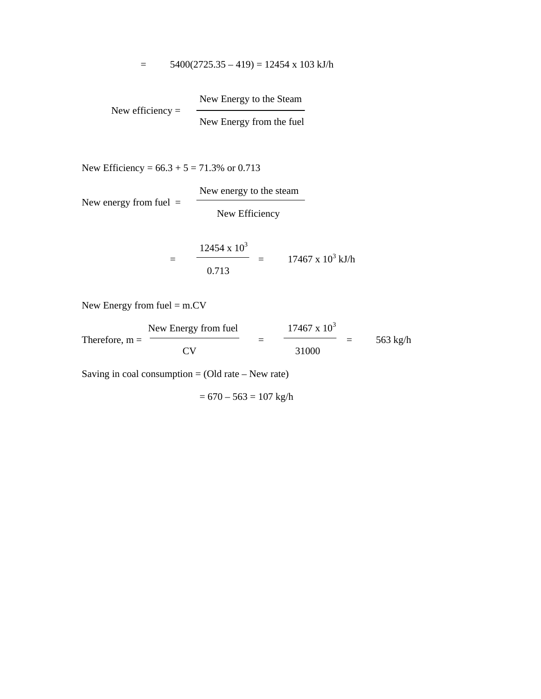$$
= 5400(2725.35 - 419) = 12454 \times 103 \text{ kJ/h}
$$

 New Energy to the Steam New efficiency = New Energy from the fuel

New Efficiency =  $66.3 + 5 = 71.3\%$  or 0.713

New energy from fuel  $=$ 

New Efficiency

New energy to the steam

$$
= \frac{12454 \times 10^3}{0.713} = 17467 \times 10^3 \text{ kJ/h}
$$

New Energy from fuel = m.CV

New Energy from fuel  $17467 \times 10^3$ Therefore, m =  $\frac{C V}{C V}$  =  $\frac{31000}{C V}$  = 563 kg/h 31000

Saving in coal consumption  $=$  (Old rate – New rate)

$$
= 670 - 563 = 107
$$
 kg/h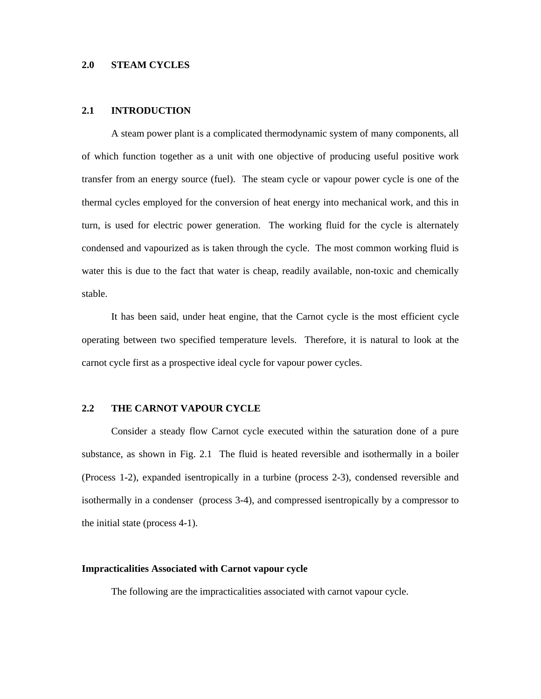#### **2.0 STEAM CYCLES**

#### **2.1 INTRODUCTION**

A steam power plant is a complicated thermodynamic system of many components, all of which function together as a unit with one objective of producing useful positive work transfer from an energy source (fuel). The steam cycle or vapour power cycle is one of the thermal cycles employed for the conversion of heat energy into mechanical work, and this in turn, is used for electric power generation. The working fluid for the cycle is alternately condensed and vapourized as is taken through the cycle. The most common working fluid is water this is due to the fact that water is cheap, readily available, non-toxic and chemically stable.

 It has been said, under heat engine, that the Carnot cycle is the most efficient cycle operating between two specified temperature levels. Therefore, it is natural to look at the carnot cycle first as a prospective ideal cycle for vapour power cycles.

# **2.2 THE CARNOT VAPOUR CYCLE**

Consider a steady flow Carnot cycle executed within the saturation done of a pure substance, as shown in Fig. 2.1 The fluid is heated reversible and isothermally in a boiler (Process 1-2), expanded isentropically in a turbine (process 2-3), condensed reversible and isothermally in a condenser (process 3-4), and compressed isentropically by a compressor to the initial state (process 4-1).

#### **Impracticalities Associated with Carnot vapour cycle**

The following are the impracticalities associated with carnot vapour cycle.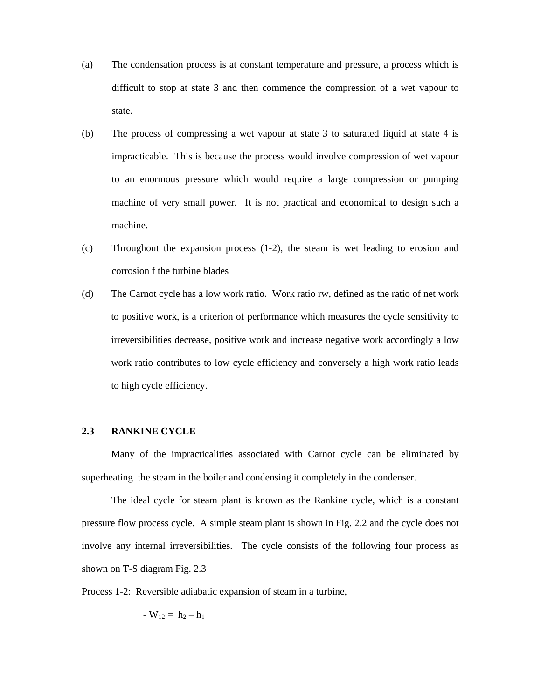- (a) The condensation process is at constant temperature and pressure, a process which is difficult to stop at state 3 and then commence the compression of a wet vapour to state.
- (b) The process of compressing a wet vapour at state 3 to saturated liquid at state 4 is impracticable. This is because the process would involve compression of wet vapour to an enormous pressure which would require a large compression or pumping machine of very small power. It is not practical and economical to design such a machine.
- (c) Throughout the expansion process (1-2), the steam is wet leading to erosion and corrosion f the turbine blades
- (d) The Carnot cycle has a low work ratio. Work ratio rw, defined as the ratio of net work to positive work, is a criterion of performance which measures the cycle sensitivity to irreversibilities decrease, positive work and increase negative work accordingly a low work ratio contributes to low cycle efficiency and conversely a high work ratio leads to high cycle efficiency.

# **2.3 RANKINE CYCLE**

 Many of the impracticalities associated with Carnot cycle can be eliminated by superheating the steam in the boiler and condensing it completely in the condenser.

The ideal cycle for steam plant is known as the Rankine cycle, which is a constant pressure flow process cycle. A simple steam plant is shown in Fig. 2.2 and the cycle does not involve any internal irreversibilities. The cycle consists of the following four process as shown on T-S diagram Fig. 2.3

Process 1-2: Reversible adiabatic expansion of steam in a turbine,

$$
-W_{12} = h_2 - h_1
$$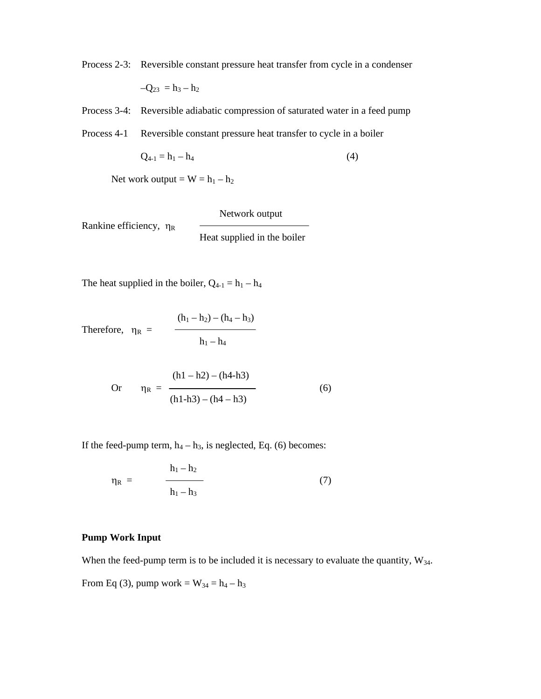Process 2-3: Reversible constant pressure heat transfer from cycle in a condenser

$$
-Q_{23}\ =h_3-h_2
$$

Process 3-4: Reversible adiabatic compression of saturated water in a feed pump

Process 4-1 Reversible constant pressure heat transfer to cycle in a boiler

$$
Q_{4-1} = h_1 - h_4 \tag{4}
$$

Net work output =  $W = h_1 - h_2$ 

 Network output Rankine efficiency, η<sub>R</sub> Heat supplied in the boiler

The heat supplied in the boiler,  $Q_{4-1} = h_1 - h_4$ 

Therefore, 
$$
\eta_R = \frac{(h_1 - h_2) - (h_4 - h_3)}{h_1 - h_4}
$$

Or 
$$
\eta_R = \frac{(h1 - h2) - (h4 - h3)}{(h1 - h3) - (h4 - h3)}
$$
 (6)

If the feed-pump term,  $h_4 - h_3$ , is neglected, Eq. (6) becomes:

$$
\eta_{R} = \frac{h_{1} - h_{2}}{h_{1} - h_{3}} \tag{7}
$$

## **Pump Work Input**

When the feed-pump term is to be included it is necessary to evaluate the quantity,  $W_{34}$ .

From Eq (3), pump work =  $W_{34} = h_4 - h_3$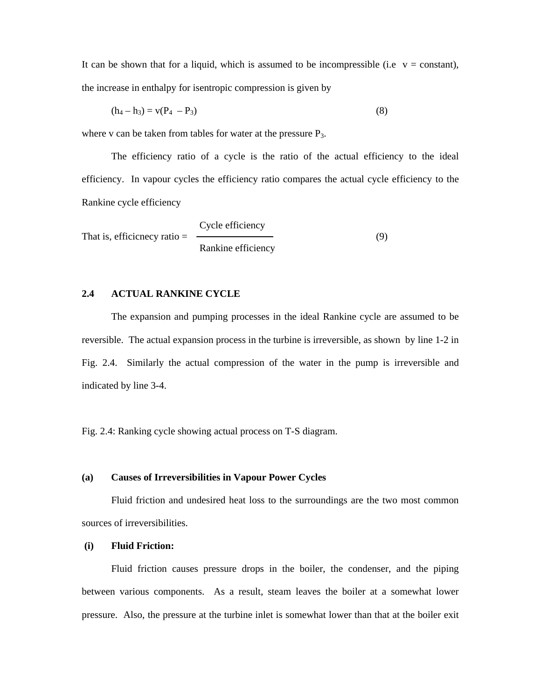It can be shown that for a liquid, which is assumed to be incompressible (i.e  $v = constant$ ), the increase in enthalpy for isentropic compression is given by

$$
(h_4 - h_3) = v(P_4 - P_3)
$$
 (8)

where v can be taken from tables for water at the pressure  $P_3$ .

The efficiency ratio of a cycle is the ratio of the actual efficiency to the ideal efficiency. In vapour cycles the efficiency ratio compares the actual cycle efficiency to the Rankine cycle efficiency

 Cycle efficiency That is, efficiency ratio =  $\qquad \qquad (9)$ Rankine efficiency

# **2.4 ACTUAL RANKINE CYCLE**

The expansion and pumping processes in the ideal Rankine cycle are assumed to be reversible. The actual expansion process in the turbine is irreversible, as shown by line 1-2 in Fig. 2.4. Similarly the actual compression of the water in the pump is irreversible and indicated by line 3-4.

Fig. 2.4: Ranking cycle showing actual process on T-S diagram.

#### **(a) Causes of Irreversibilities in Vapour Power Cycles**

 Fluid friction and undesired heat loss to the surroundings are the two most common sources of irreversibilities.

## **(i) Fluid Friction:**

 Fluid friction causes pressure drops in the boiler, the condenser, and the piping between various components. As a result, steam leaves the boiler at a somewhat lower pressure. Also, the pressure at the turbine inlet is somewhat lower than that at the boiler exit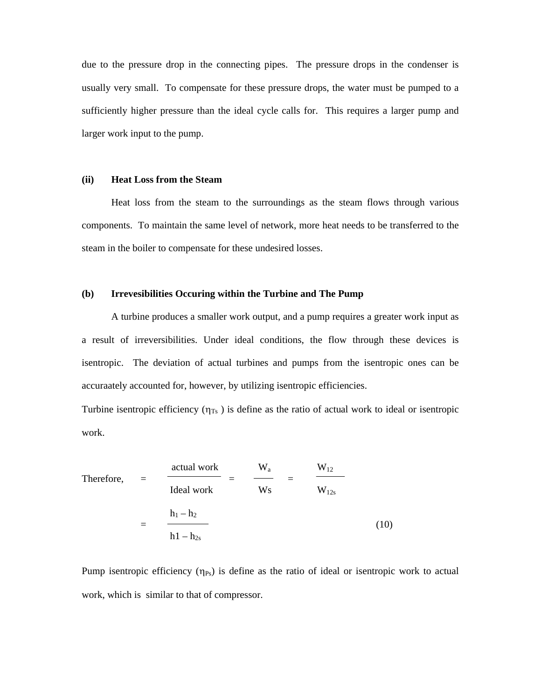due to the pressure drop in the connecting pipes. The pressure drops in the condenser is usually very small. To compensate for these pressure drops, the water must be pumped to a sufficiently higher pressure than the ideal cycle calls for. This requires a larger pump and larger work input to the pump.

## **(ii) Heat Loss from the Steam**

 Heat loss from the steam to the surroundings as the steam flows through various components. To maintain the same level of network, more heat needs to be transferred to the steam in the boiler to compensate for these undesired losses.

#### **(b) Irrevesibilities Occuring within the Turbine and The Pump**

 A turbine produces a smaller work output, and a pump requires a greater work input as a result of irreversibilities. Under ideal conditions, the flow through these devices is isentropic. The deviation of actual turbines and pumps from the isentropic ones can be accuraately accounted for, however, by utilizing isentropic efficiencies.

Turbine isentropic efficiency  $(\eta_{Ts})$  is define as the ratio of actual work to ideal or isentropic work.

Therefore, 
$$
= \frac{\text{actual work}}{\text{Ideal work}} = \frac{W_a}{W_s} = \frac{W_{12}}{W_{12s}}
$$

$$
= \frac{h_1 - h_2}{h_1 - h_{2s}}
$$
(10)

Pump isentropic efficiency  $(\eta_{Ps})$  is define as the ratio of ideal or isentropic work to actual work, which is similar to that of compressor.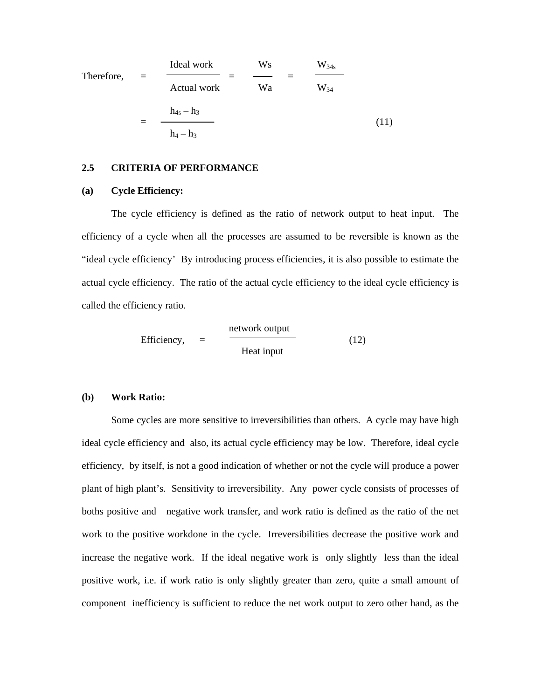Therefore, 
$$
= \frac{\text{Ideal work}}{\text{Actual work}} = \frac{W_8}{W_8} = \frac{W_{34s}}{W_{34}}
$$

$$
= \frac{h_{4s} - h_3}{h_4 - h_3}
$$
(11)

#### **2.5 CRITERIA OF PERFORMANCE**

## **(a) Cycle Efficiency:**

The cycle efficiency is defined as the ratio of network output to heat input. The efficiency of a cycle when all the processes are assumed to be reversible is known as the "ideal cycle efficiency' By introducing process efficiencies, it is also possible to estimate the actual cycle efficiency. The ratio of the actual cycle efficiency to the ideal cycle efficiency is called the efficiency ratio.

Efficiency, 
$$
= \frac{\text{network output}}{\text{Heat input}}
$$
 (12)

#### **(b) Work Ratio:**

Some cycles are more sensitive to irreversibilities than others. A cycle may have high ideal cycle efficiency and also, its actual cycle efficiency may be low. Therefore, ideal cycle efficiency, by itself, is not a good indication of whether or not the cycle will produce a power plant of high plant's. Sensitivity to irreversibility. Any power cycle consists of processes of boths positive and negative work transfer, and work ratio is defined as the ratio of the net work to the positive workdone in the cycle. Irreversibilities decrease the positive work and increase the negative work. If the ideal negative work is only slightly less than the ideal positive work, i.e. if work ratio is only slightly greater than zero, quite a small amount of component inefficiency is sufficient to reduce the net work output to zero other hand, as the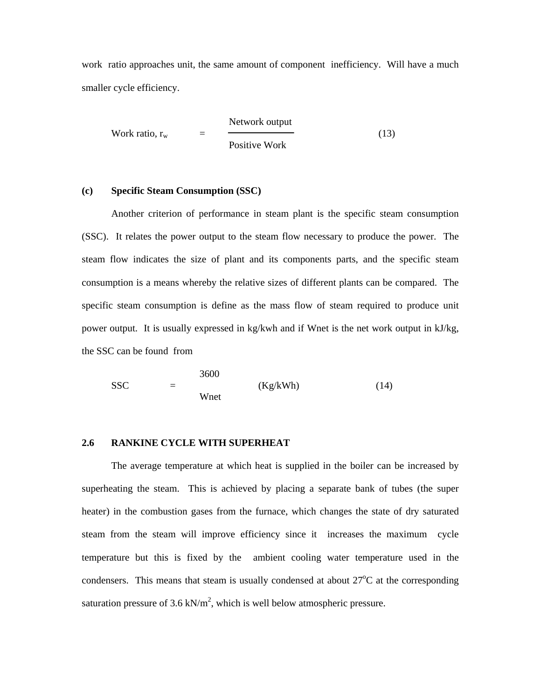work ratio approaches unit, the same amount of component inefficiency. Will have a much smaller cycle efficiency.

Work ratio, 
$$
r_w
$$
 = 
$$
\frac{Network output}{Positive Work}
$$
 (13)

## **(c) Specific Steam Consumption (SSC)**

 Another criterion of performance in steam plant is the specific steam consumption (SSC). It relates the power output to the steam flow necessary to produce the power. The steam flow indicates the size of plant and its components parts, and the specific steam consumption is a means whereby the relative sizes of different plants can be compared. The specific steam consumption is define as the mass flow of steam required to produce unit power output. It is usually expressed in kg/kwh and if Wnet is the net work output in kJ/kg, the SSC can be found from

 3600  $SSC = (Kg/kWh)$  (14) Wnet

## **2.6 RANKINE CYCLE WITH SUPERHEAT**

 The average temperature at which heat is supplied in the boiler can be increased by superheating the steam. This is achieved by placing a separate bank of tubes (the super heater) in the combustion gases from the furnace, which changes the state of dry saturated steam from the steam will improve efficiency since it increases the maximum cycle temperature but this is fixed by the ambient cooling water temperature used in the condensers. This means that steam is usually condensed at about  $27^{\circ}$ C at the corresponding saturation pressure of 3.6 kN/ $m^2$ , which is well below atmospheric pressure.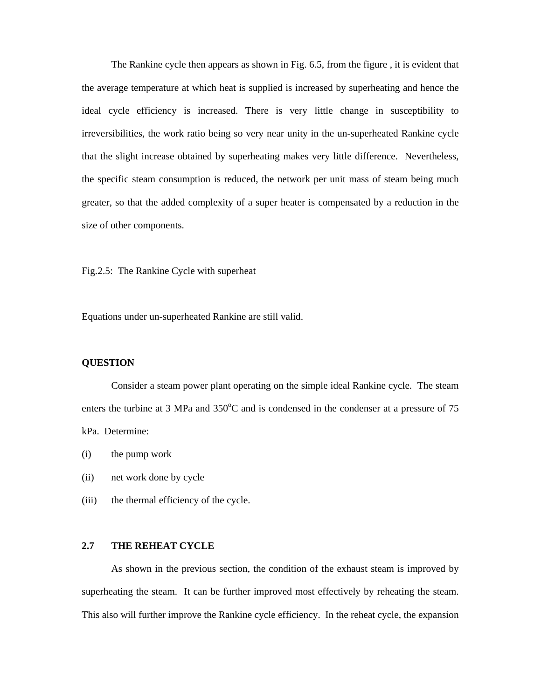The Rankine cycle then appears as shown in Fig. 6.5, from the figure , it is evident that the average temperature at which heat is supplied is increased by superheating and hence the ideal cycle efficiency is increased. There is very little change in susceptibility to irreversibilities, the work ratio being so very near unity in the un-superheated Rankine cycle that the slight increase obtained by superheating makes very little difference. Nevertheless, the specific steam consumption is reduced, the network per unit mass of steam being much greater, so that the added complexity of a super heater is compensated by a reduction in the size of other components.

Fig.2.5: The Rankine Cycle with superheat

Equations under un-superheated Rankine are still valid.

# **QUESTION**

Consider a steam power plant operating on the simple ideal Rankine cycle. The steam enters the turbine at 3 MPa and  $350^{\circ}$ C and is condensed in the condenser at a pressure of 75 kPa. Determine:

- (i) the pump work
- (ii) net work done by cycle
- (iii) the thermal efficiency of the cycle.

## **2.7 THE REHEAT CYCLE**

As shown in the previous section, the condition of the exhaust steam is improved by superheating the steam. It can be further improved most effectively by reheating the steam. This also will further improve the Rankine cycle efficiency. In the reheat cycle, the expansion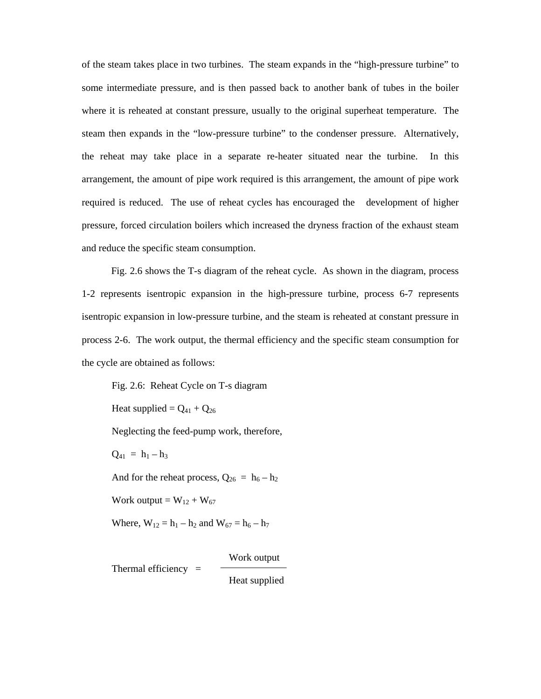of the steam takes place in two turbines. The steam expands in the "high-pressure turbine" to some intermediate pressure, and is then passed back to another bank of tubes in the boiler where it is reheated at constant pressure, usually to the original superheat temperature. The steam then expands in the "low-pressure turbine" to the condenser pressure. Alternatively, the reheat may take place in a separate re-heater situated near the turbine. In this arrangement, the amount of pipe work required is this arrangement, the amount of pipe work required is reduced. The use of reheat cycles has encouraged the development of higher pressure, forced circulation boilers which increased the dryness fraction of the exhaust steam and reduce the specific steam consumption.

Fig. 2.6 shows the T-s diagram of the reheat cycle. As shown in the diagram, process 1-2 represents isentropic expansion in the high-pressure turbine, process 6-7 represents isentropic expansion in low-pressure turbine, and the steam is reheated at constant pressure in process 2-6. The work output, the thermal efficiency and the specific steam consumption for the cycle are obtained as follows:

Fig. 2.6: Reheat Cycle on T-s diagram

Heat supplied =  $Q_{41} + Q_{26}$ 

Neglecting the feed-pump work, therefore,

 $Q_{41} = h_1 - h_3$ 

And for the reheat process,  $Q_{26} = h_6 - h_2$ 

Work output =  $W_{12} + W_{67}$ 

Where,  $W_{12} = h_1 - h_2$  and  $W_{67} = h_6 - h_7$ 

Work output

Thermal efficiency  $=$ 

Heat supplied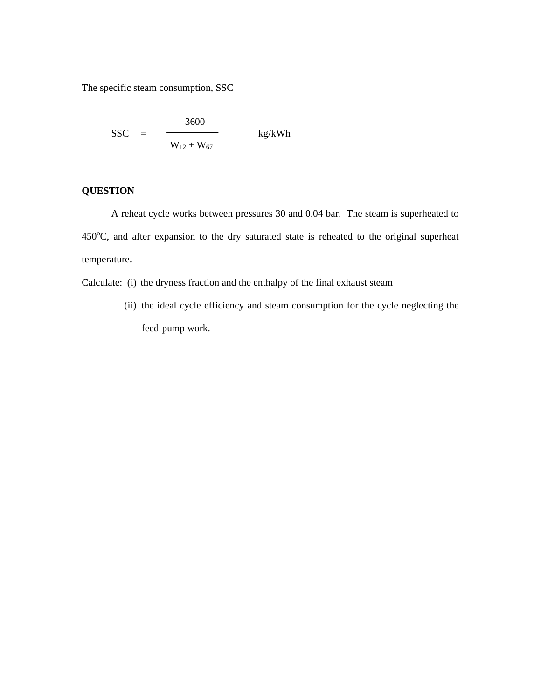The specific steam consumption, SSC

$$
SSC = \frac{3600}{W_{12} + W_{67}} \qquad \text{kg/kWh}
$$

# **QUESTION**

A reheat cycle works between pressures 30 and 0.04 bar. The steam is superheated to  $450^{\circ}$ C, and after expansion to the dry saturated state is reheated to the original superheat temperature.

Calculate: (i) the dryness fraction and the enthalpy of the final exhaust steam

(ii) the ideal cycle efficiency and steam consumption for the cycle neglecting the feed-pump work.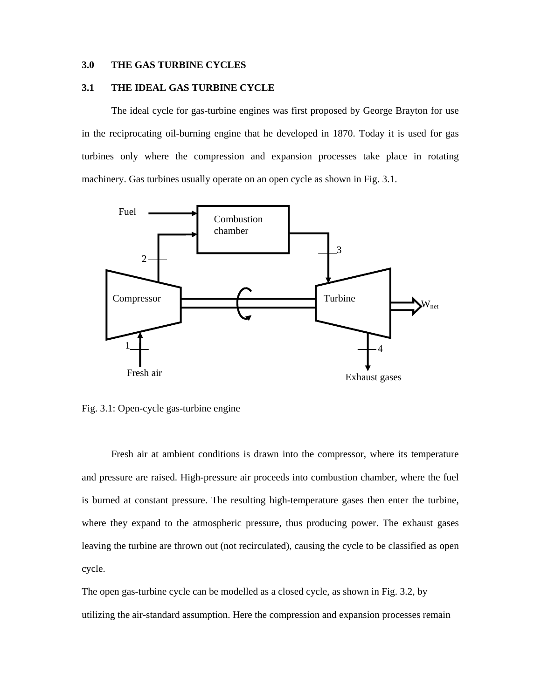# **3.0 THE GAS TURBINE CYCLES**

# **3.1 THE IDEAL GAS TURBINE CYCLE**

The ideal cycle for gas-turbine engines was first proposed by George Brayton for use in the reciprocating oil-burning engine that he developed in 1870. Today it is used for gas turbines only where the compression and expansion processes take place in rotating machinery. Gas turbines usually operate on an open cycle as shown in Fig. 3.1.



Fig. 3.1: Open-cycle gas-turbine engine

Fresh air at ambient conditions is drawn into the compressor, where its temperature and pressure are raised. High-pressure air proceeds into combustion chamber, where the fuel is burned at constant pressure. The resulting high-temperature gases then enter the turbine, where they expand to the atmospheric pressure, thus producing power. The exhaust gases leaving the turbine are thrown out (not recirculated), causing the cycle to be classified as open cycle.

The open gas-turbine cycle can be modelled as a closed cycle, as shown in Fig. 3.2, by utilizing the air-standard assumption. Here the compression and expansion processes remain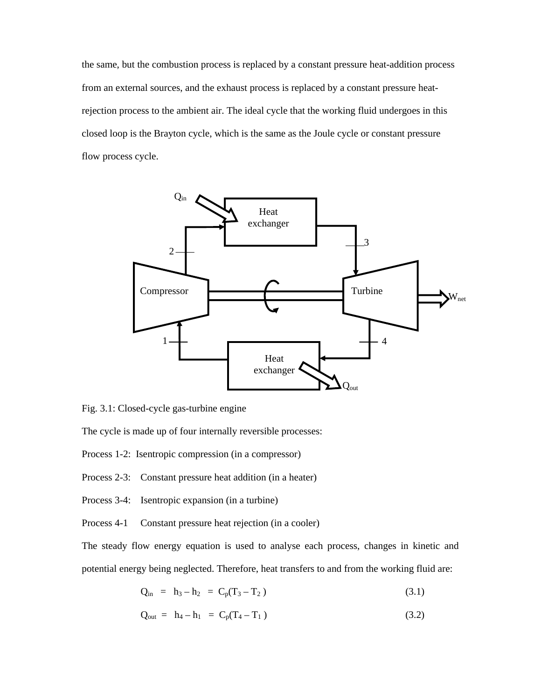the same, but the combustion process is replaced by a constant pressure heat-addition process from an external sources, and the exhaust process is replaced by a constant pressure heatrejection process to the ambient air. The ideal cycle that the working fluid undergoes in this closed loop is the Brayton cycle, which is the same as the Joule cycle or constant pressure flow process cycle.



Fig. 3.1: Closed-cycle gas-turbine engine

The cycle is made up of four internally reversible processes:

Process 1-2: Isentropic compression (in a compressor)

Process 2-3: Constant pressure heat addition (in a heater)

Process 3-4: Isentropic expansion (in a turbine)

Process 4-1 Constant pressure heat rejection (in a cooler)

The steady flow energy equation is used to analyse each process, changes in kinetic and potential energy being neglected. Therefore, heat transfers to and from the working fluid are:

$$
Q_{in} = h_3 - h_2 = C_p(T_3 - T_2)
$$
\n(3.1)

$$
Q_{out} = h_4 - h_1 = C_p (T_4 - T_1)
$$
 (3.2)